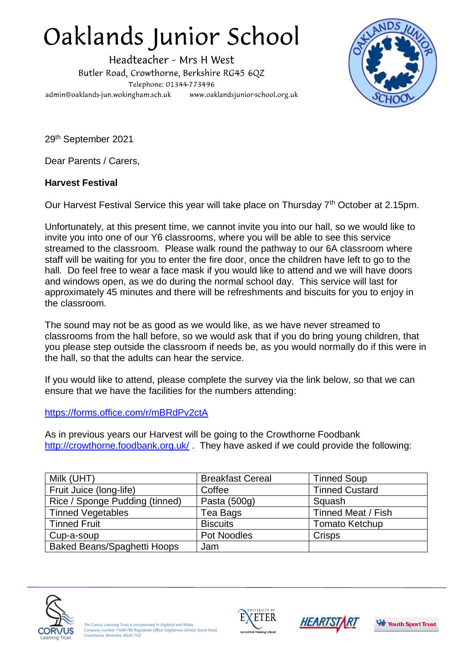## Oaklands Junior School

Headteacher - Mrs H West Butler Road, Crowthorne, Berkshire RG45 6QZ Telephone: 01344-773496 admin@oaklands-jun.wokingham.sch.uk www.oaklandsjunior-school.org.uk



29th September 2021

Dear Parents / Carers,

## **Harvest Festival**

Our Harvest Festival Service this year will take place on Thursday 7th October at 2.15pm.

Unfortunately, at this present time, we cannot invite you into our hall, so we would like to invite you into one of our Y6 classrooms, where you will be able to see this service streamed to the classroom. Please walk round the pathway to our 6A classroom where staff will be waiting for you to enter the fire door, once the children have left to go to the hall. Do feel free to wear a face mask if you would like to attend and we will have doors and windows open, as we do during the normal school day. This service will last for approximately 45 minutes and there will be refreshments and biscuits for you to enjoy in the classroom.

The sound may not be as good as we would like, as we have never streamed to classrooms from the hall before, so we would ask that if you do bring young children, that you please step outside the classroom if needs be, as you would normally do if this were in the hall, so that the adults can hear the service.

If you would like to attend, please complete the survey via the link below, so that we can ensure that we have the facilities for the numbers attending:

## <https://forms.office.com/r/mBRdPv2ctA>

As in previous years our Harvest will be going to the Crowthorne Foodbank <http://crowthorne.foodbank.org.uk/>. They have asked if we could provide the following:

| Milk (UHT)                         | <b>Breakfast Cereal</b> | <b>Tinned Soup</b>    |
|------------------------------------|-------------------------|-----------------------|
| Fruit Juice (long-life)            | Coffee                  | <b>Tinned Custard</b> |
| Rice / Sponge Pudding (tinned)     | Pasta (500g)            | Squash                |
| <b>Tinned Vegetables</b>           | Tea Bags                | Tinned Meat / Fish    |
| <b>Tinned Fruit</b>                | <b>Biscuits</b>         | <b>Tomato Ketchup</b> |
| Cup-a-soup                         | <b>Pot Noodles</b>      | <b>Crisps</b>         |
| <b>Baked Beans/Spaghetti Hoops</b> | Jam                     |                       |